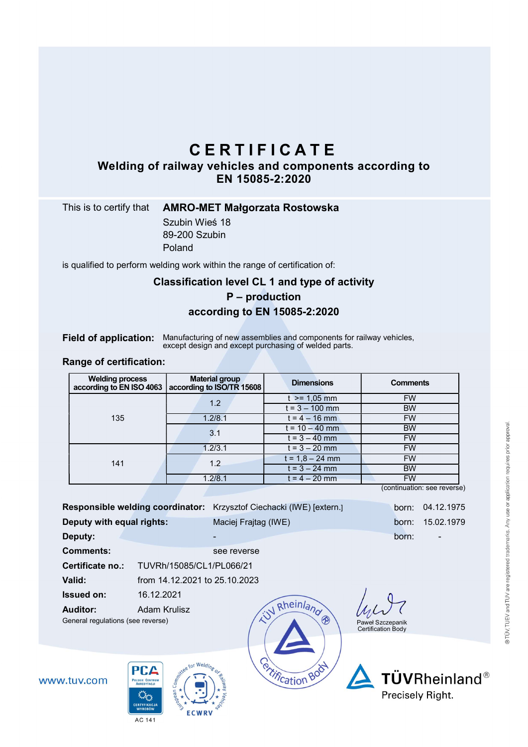# C E R T I F I C A T E

Welding of railway vehicles and components according to EN 15085-2:2020

## This is to certify that **AMRO-MET Małgorzata Rostowska**

Szubin Wieś 18 89-200 Szubin Poland

is qualified to perform welding work within the range of certification of:

# Classification level CL 1 and type of activity

# P – production according to EN 15085-2:2020

Field of application: Manufacturing of new assemblies and components for railway vehicles, except design and except purchasing of welded parts.

#### Range of certification:

| <b>Welding process</b><br>according to EN ISO 4063 | <b>Material group</b><br>according to ISO/TR 15608 | <b>Dimensions</b> | <b>Comments</b> |
|----------------------------------------------------|----------------------------------------------------|-------------------|-----------------|
| 135                                                | 1.2                                                | $t > = 1.05$ mm   | <b>FW</b>       |
|                                                    |                                                    | $t = 3 - 100$ mm  | <b>BW</b>       |
|                                                    | 1.2/8.1                                            | $t = 4 - 16$ mm   | <b>FW</b>       |
|                                                    | 3.1                                                | $t = 10 - 40$ mm  | <b>BW</b>       |
|                                                    |                                                    | $t = 3 - 40$ mm   | <b>FW</b>       |
| 141                                                | 1.2/3.1                                            | $t = 3 - 20$ mm   | <b>FW</b>       |
|                                                    | 1.2                                                | $t = 1,8 - 24$ mm | <b>FW</b>       |
|                                                    |                                                    | $t = 3 - 24$ mm   | <b>BW</b>       |
|                                                    | 1.2/8.1                                            | $t = 4 - 20$ mm   | <b>FW</b>       |

(continuation: see reverse)

| <b>Responsible welding coordinator:</b>                                 |                               | Krzysztof Ciechacki (IWE) [extern.] | born:                                  | 04.12.1975                |
|-------------------------------------------------------------------------|-------------------------------|-------------------------------------|----------------------------------------|---------------------------|
| Deputy with equal rights:                                               |                               | Maciej Frajtag (IWE)                | born:                                  | 15.02.1979                |
| Deputy:                                                                 |                               |                                     | born:                                  |                           |
| <b>Comments:</b>                                                        |                               | see reverse                         |                                        |                           |
| Certificate no.:                                                        | TUVRh/15085/CL1/PL066/21      |                                     |                                        |                           |
| Valid:                                                                  | from 14.12.2021 to 25.10.2023 |                                     |                                        |                           |
| <b>Issued on:</b>                                                       | 16.12.2021                    |                                     |                                        |                           |
| <b>Auditor:</b><br>General regulations (see reverse)                    | Adam Krulisz                  | N Rheinland<br>◈                    | Paweł Szczepanik<br>Certification Body |                           |
| <b>PCA</b><br>w.tuv.com<br><b>POLSKIE CENTRUM</b><br><b>AKREDYTACJI</b> | Sometime for Weld.<br>Яñ      | <b>Portification Bod</b>            | <b>Propically Pight</b>                | TÜVRheinland <sup>®</sup> |



**WWV** 



Precisely Right.